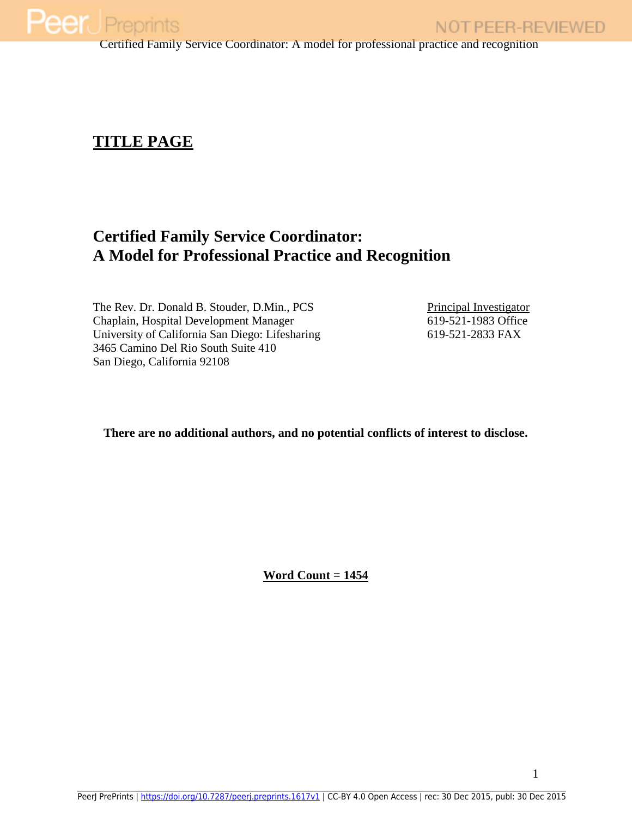## **TITLE PAGE**

## **Certified Family Service Coordinator: A Model for Professional Practice and Recognition**

The Rev. Dr. Donald B. Stouder, D.Min., PCS Principal Investigator Chaplain, Hospital Development Manager 619-521-1983 Office University of California San Diego: Lifesharing 619-521-2833 FAX 3465 Camino Del Rio South Suite 410 San Diego, California 92108

**There are no additional authors, and no potential conflicts of interest to disclose.**

**Word Count = 1454**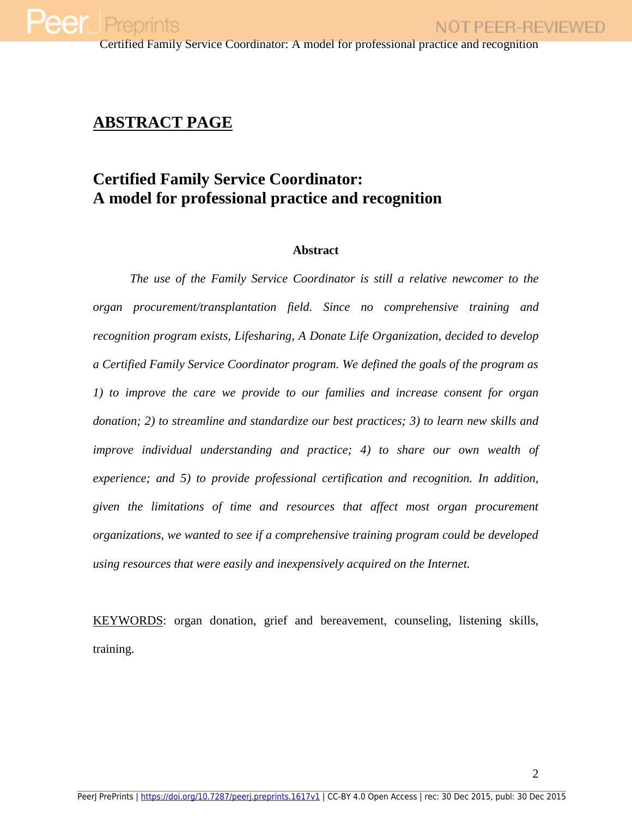## **ABSTRACT PAGE**

## **Certified Family Service Coordinator: A model for professional practice and recognition**

#### **Abstract**

*The use of the Family Service Coordinator is still a relative newcomer to the organ procurement/transplantation field. Since no comprehensive training and recognition program exists, Lifesharing, A Donate Life Organization, decided to develop a Certified Family Service Coordinator program. We defined the goals of the program as 1) to improve the care we provide to our families and increase consent for organ donation; 2) to streamline and standardize our best practices; 3) to learn new skills and improve individual understanding and practice; 4) to share our own wealth of experience; and 5) to provide professional certification and recognition. In addition, given the limitations of time and resources that affect most organ procurement organizations, we wanted to see if a comprehensive training program could be developed using resources that were easily and inexpensively acquired on the Internet.*

KEYWORDS: organ donation, grief and bereavement, counseling, listening skills, training.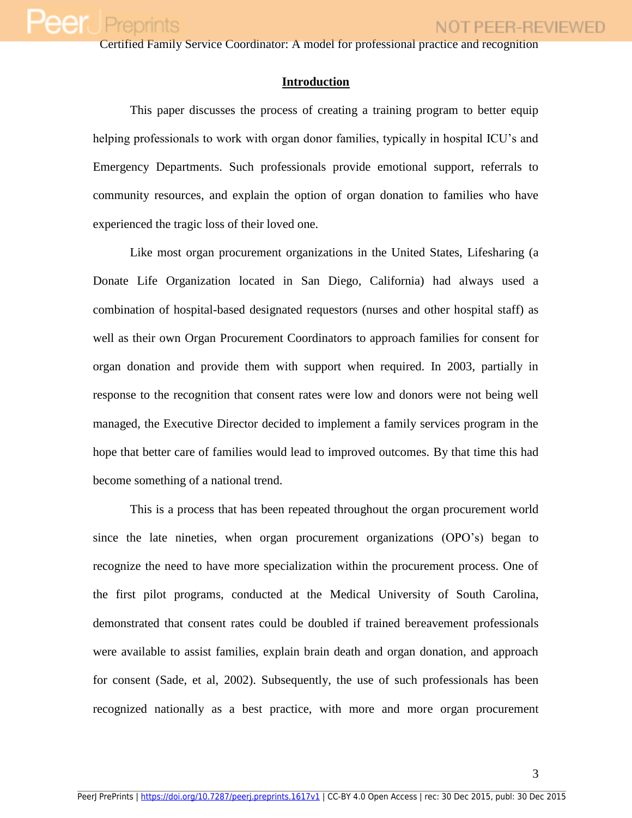**PEER-RE**<br>Certified Family Service Coordinator: A model for professional practice and recognition

#### **Introduction**

This paper discusses the process of creating a training program to better equip helping professionals to work with organ donor families, typically in hospital ICU's and Emergency Departments. Such professionals provide emotional support, referrals to community resources, and explain the option of organ donation to families who have experienced the tragic loss of their loved one.

Like most organ procurement organizations in the United States, Lifesharing (a Donate Life Organization located in San Diego, California) had always used a combination of hospital-based designated requestors (nurses and other hospital staff) as well as their own Organ Procurement Coordinators to approach families for consent for organ donation and provide them with support when required. In 2003, partially in response to the recognition that consent rates were low and donors were not being well managed, the Executive Director decided to implement a family services program in the hope that better care of families would lead to improved outcomes. By that time this had become something of a national trend.

This is a process that has been repeated throughout the organ procurement world since the late nineties, when organ procurement organizations (OPO's) began to recognize the need to have more specialization within the procurement process. One of the first pilot programs, conducted at the Medical University of South Carolina, demonstrated that consent rates could be doubled if trained bereavement professionals were available to assist families, explain brain death and organ donation, and approach for consent (Sade, et al, 2002). Subsequently, the use of such professionals has been recognized nationally as a best practice, with more and more organ procurement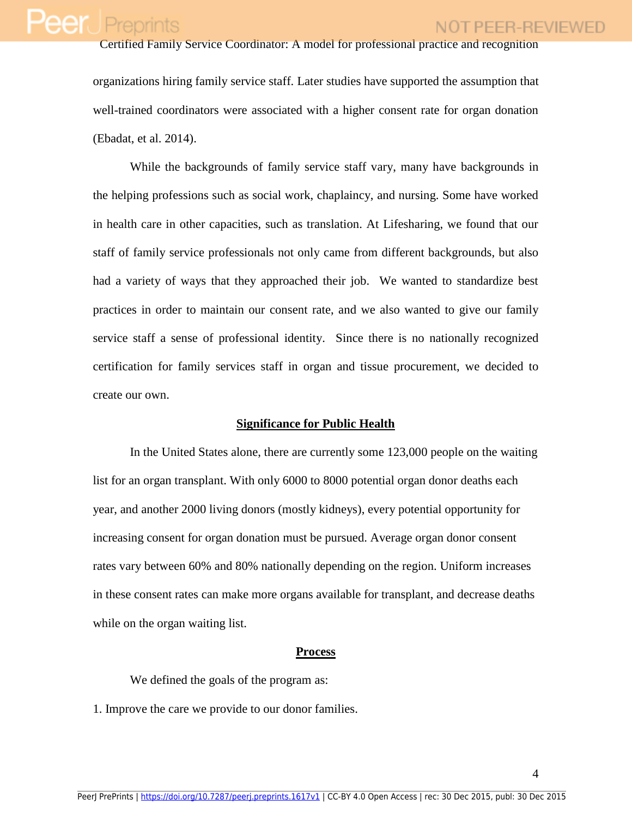#### Certified Family Service Coordinator: A model for professional practice and recognition

**Peer** Preprints

organizations hiring family service staff. Later studies have supported the assumption that well-trained coordinators were associated with a higher consent rate for organ donation (Ebadat, et al. 2014).

While the backgrounds of family service staff vary, many have backgrounds in the helping professions such as social work, chaplaincy, and nursing. Some have worked in health care in other capacities, such as translation. At Lifesharing, we found that our staff of family service professionals not only came from different backgrounds, but also had a variety of ways that they approached their job. We wanted to standardize best practices in order to maintain our consent rate, and we also wanted to give our family service staff a sense of professional identity. Since there is no nationally recognized certification for family services staff in organ and tissue procurement, we decided to create our own.

#### **Significance for Public Health**

In the United States alone, there are currently some 123,000 people on the waiting list for an organ transplant. With only 6000 to 8000 potential organ donor deaths each year, and another 2000 living donors (mostly kidneys), every potential opportunity for increasing consent for organ donation must be pursued. Average organ donor consent rates vary between 60% and 80% nationally depending on the region. Uniform increases in these consent rates can make more organs available for transplant, and decrease deaths while on the organ waiting list.

#### **Process**

We defined the goals of the program as:

1. Improve the care we provide to our donor families.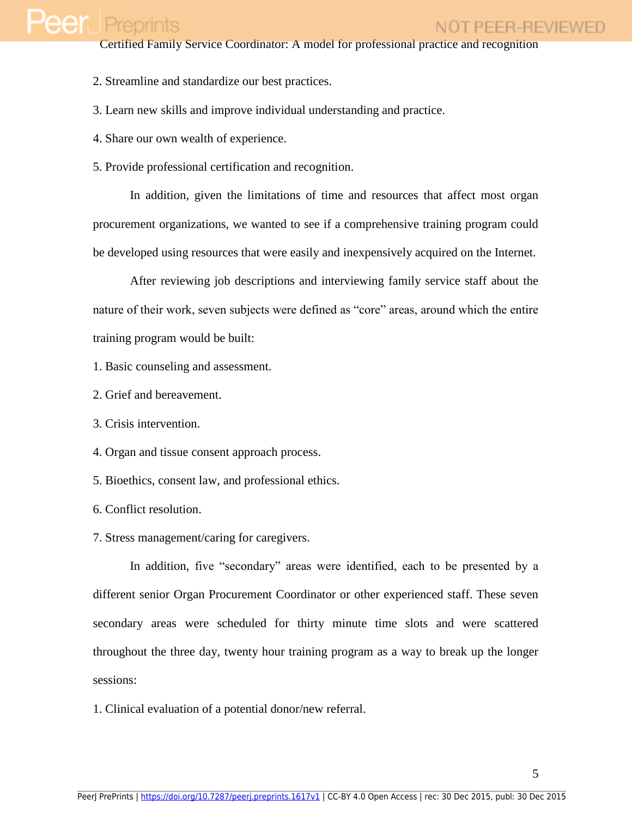Certified Family Service Coordinator: A model for professional practice and recognition

- 2. Streamline and standardize our best practices.
- 3. Learn new skills and improve individual understanding and practice.
- 4. Share our own wealth of experience.
- 5. Provide professional certification and recognition.

In addition, given the limitations of time and resources that affect most organ procurement organizations, we wanted to see if a comprehensive training program could be developed using resources that were easily and inexpensively acquired on the Internet.

After reviewing job descriptions and interviewing family service staff about the nature of their work, seven subjects were defined as "core" areas, around which the entire training program would be built:

- 1. Basic counseling and assessment.
- 2. Grief and bereavement.
- 3. Crisis intervention.
- 4. Organ and tissue consent approach process.
- 5. Bioethics, consent law, and professional ethics.
- 6. Conflict resolution.
- 7. Stress management/caring for caregivers.

In addition, five "secondary" areas were identified, each to be presented by a different senior Organ Procurement Coordinator or other experienced staff. These seven secondary areas were scheduled for thirty minute time slots and were scattered throughout the three day, twenty hour training program as a way to break up the longer sessions:

1. Clinical evaluation of a potential donor/new referral.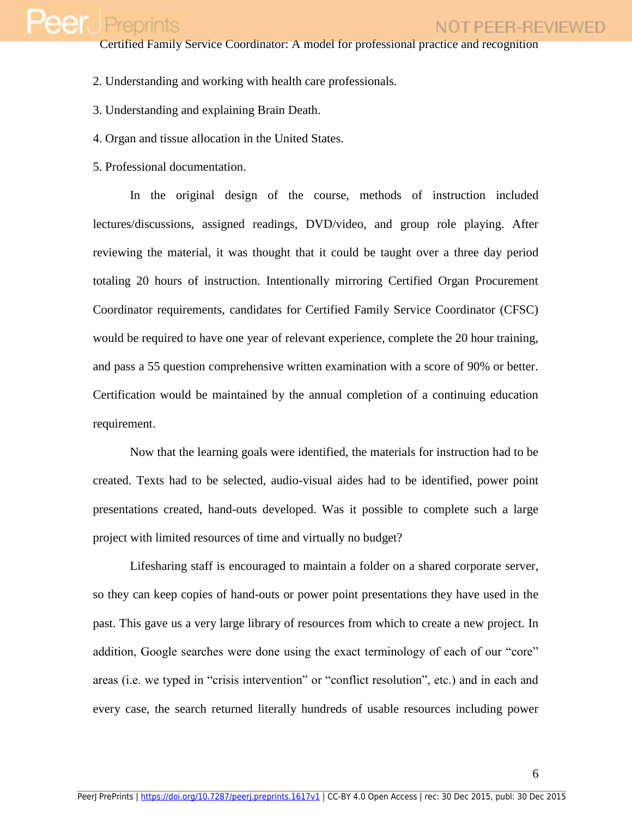- 2. Understanding and working with health care professionals.
- 3. Understanding and explaining Brain Death.
- 4. Organ and tissue allocation in the United States.
- 5. Professional documentation.

In the original design of the course, methods of instruction included lectures/discussions, assigned readings, DVD/video, and group role playing. After reviewing the material, it was thought that it could be taught over a three day period totaling 20 hours of instruction. Intentionally mirroring Certified Organ Procurement Coordinator requirements, candidates for Certified Family Service Coordinator (CFSC) would be required to have one year of relevant experience, complete the 20 hour training, and pass a 55 question comprehensive written examination with a score of 90% or better. Certification would be maintained by the annual completion of a continuing education requirement.

Now that the learning goals were identified, the materials for instruction had to be created. Texts had to be selected, audio-visual aides had to be identified, power point presentations created, hand-outs developed. Was it possible to complete such a large project with limited resources of time and virtually no budget?

Lifesharing staff is encouraged to maintain a folder on a shared corporate server, so they can keep copies of hand-outs or power point presentations they have used in the past. This gave us a very large library of resources from which to create a new project. In addition, Google searches were done using the exact terminology of each of our "core" areas (i.e. we typed in "crisis intervention" or "conflict resolution", etc.) and in each and every case, the search returned literally hundreds of usable resources including power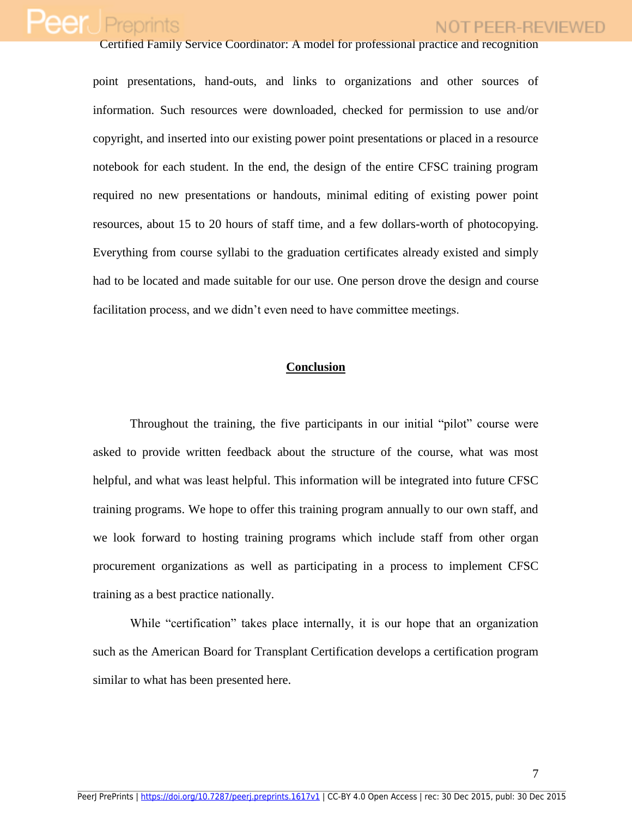## NOT PEER-REVIEWED

# **PEER-RE**<br>Certified Family Service Coordinator: A model for professional practice and recognition

point presentations, hand-outs, and links to organizations and other sources of information. Such resources were downloaded, checked for permission to use and/or copyright, and inserted into our existing power point presentations or placed in a resource notebook for each student. In the end, the design of the entire CFSC training program required no new presentations or handouts, minimal editing of existing power point resources, about 15 to 20 hours of staff time, and a few dollars-worth of photocopying. Everything from course syllabi to the graduation certificates already existed and simply had to be located and made suitable for our use. One person drove the design and course facilitation process, and we didn't even need to have committee meetings.

#### **Conclusion**

Throughout the training, the five participants in our initial "pilot" course were asked to provide written feedback about the structure of the course, what was most helpful, and what was least helpful. This information will be integrated into future CFSC training programs. We hope to offer this training program annually to our own staff, and we look forward to hosting training programs which include staff from other organ procurement organizations as well as participating in a process to implement CFSC training as a best practice nationally.

While "certification" takes place internally, it is our hope that an organization such as the American Board for Transplant Certification develops a certification program similar to what has been presented here.